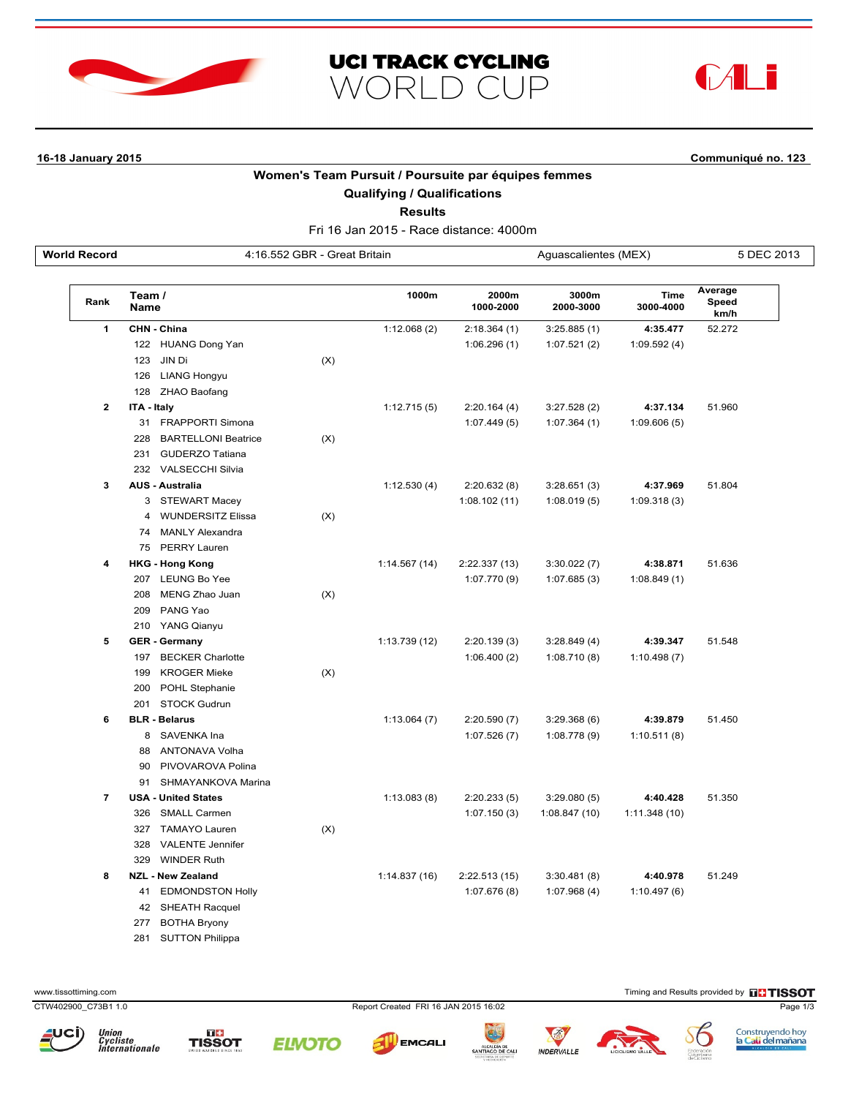





**16-18 January 2015 Communiqué no. 123**

## **Women's Team Pursuit / Poursuite par équipes femmes**

**Qualifying / Qualifications**

**Results**

Fri 16 Jan 2015 - Race distance: 4000m **World Record** 4:16.552 GBR - Great Britain Aguascalientes (MEX) 5 DEC 2013

| Rank           | Team /<br><b>Name</b> |                            |     | 1000m         | 2000m<br>1000-2000 | 3000m<br>2000-3000 | Time<br>3000-4000 | Average<br>Speed<br>km/h |
|----------------|-----------------------|----------------------------|-----|---------------|--------------------|--------------------|-------------------|--------------------------|
| 1              |                       | CHN - China                |     | 1:12.068(2)   | 2:18.364(1)        | 3:25.885(1)        | 4:35.477          | 52.272                   |
|                |                       | 122 HUANG Dong Yan         |     |               | 1:06.296(1)        | 1:07.521(2)        | 1:09.592(4)       |                          |
|                |                       | 123 JIN Di                 | (X) |               |                    |                    |                   |                          |
|                |                       | 126 LIANG Hongyu           |     |               |                    |                    |                   |                          |
|                |                       | 128 ZHAO Baofang           |     |               |                    |                    |                   |                          |
| 2              | ITA - Italy           |                            |     | 1:12.715(5)   | 2:20.164(4)        | 3:27.528(2)        | 4:37.134          | 51.960                   |
|                |                       | 31 FRAPPORTI Simona        |     |               | 1:07.449(5)        | 1:07.364(1)        | 1:09.606(5)       |                          |
|                | 228                   | <b>BARTELLONI Beatrice</b> | (X) |               |                    |                    |                   |                          |
|                | 231                   | <b>GUDERZO Tatiana</b>     |     |               |                    |                    |                   |                          |
|                |                       | 232 VALSECCHI Silvia       |     |               |                    |                    |                   |                          |
| 3              |                       | <b>AUS - Australia</b>     |     | 1:12.530(4)   | 2:20.632(8)        | 3:28.651(3)        | 4:37.969          | 51.804                   |
|                |                       | 3 STEWART Macey            |     |               | 1:08.102(11)       | 1:08.019(5)        | 1:09.318(3)       |                          |
|                | 4                     | <b>WUNDERSITZ Elissa</b>   | (X) |               |                    |                    |                   |                          |
|                |                       | 74 MANLY Alexandra         |     |               |                    |                    |                   |                          |
|                |                       | 75 PERRY Lauren            |     |               |                    |                    |                   |                          |
| 4              |                       | <b>HKG - Hong Kong</b>     |     | 1:14.567(14)  | 2:22.337 (13)      | 3:30.022(7)        | 4:38.871          | 51.636                   |
|                |                       | 207 LEUNG Bo Yee           |     |               | 1:07.770(9)        | 1:07.685(3)        | 1:08.849(1)       |                          |
|                |                       | 208 MENG Zhao Juan         | (X) |               |                    |                    |                   |                          |
|                |                       | 209 PANG Yao               |     |               |                    |                    |                   |                          |
|                |                       | 210 YANG Qianyu            |     |               |                    |                    |                   |                          |
| 5              |                       | <b>GER - Germany</b>       |     | 1:13.739 (12) | 2:20.139(3)        | 3:28.849(4)        | 4:39.347          | 51.548                   |
|                |                       | 197 BECKER Charlotte       |     |               | 1:06.400(2)        | 1:08.710(8)        | 1:10.498(7)       |                          |
|                | 199                   | <b>KROGER Mieke</b>        | (X) |               |                    |                    |                   |                          |
|                |                       | 200 POHL Stephanie         |     |               |                    |                    |                   |                          |
|                |                       | 201 STOCK Gudrun           |     |               |                    |                    |                   |                          |
| 6              |                       | <b>BLR - Belarus</b>       |     | 1:13.064(7)   | 2:20.590(7)        | 3:29.368(6)        | 4:39.879          | 51.450                   |
|                | 8                     | SAVENKA Ina                |     |               | 1:07.526(7)        | 1:08.778(9)        | 1:10.511(8)       |                          |
|                |                       | 88 ANTONAVA Volha          |     |               |                    |                    |                   |                          |
|                | 90                    | PIVOVAROVA Polina          |     |               |                    |                    |                   |                          |
|                |                       | 91 SHMAYANKOVA Marina      |     |               |                    |                    |                   |                          |
| $\overline{7}$ |                       | <b>USA - United States</b> |     | 1:13.083(8)   | 2:20.233(5)        | 3:29.080(5)        | 4:40.428          | 51.350                   |
|                |                       | 326 SMALL Carmen           |     |               | 1:07.150(3)        | 1:08.847(10)       | 1:11.348(10)      |                          |
|                | 327                   | <b>TAMAYO Lauren</b>       | (X) |               |                    |                    |                   |                          |
|                | 328                   | <b>VALENTE Jennifer</b>    |     |               |                    |                    |                   |                          |
|                | 329                   | <b>WINDER Ruth</b>         |     |               |                    |                    |                   |                          |
| 8              |                       | <b>NZL - New Zealand</b>   |     | 1:14.837(16)  | 2:22.513(15)       | 3:30.481(8)        | 4:40.978          | 51.249                   |
|                |                       | 41 EDMONDSTON Holly        |     |               | 1:07.676(8)        | 1:07.968(4)        | 1:10.497(6)       |                          |
|                |                       | 42 SHEATH Racquel          |     |               |                    |                    |                   |                          |
|                |                       |                            |     |               |                    |                    |                   |                          |

277 BOTHA Bryony

281 SUTTON Philippa

www.tissottiming.com **EXECUTES CONTEXT CONTEXT** Timing and Results provided by **EXECUTES CONTEXT AND RESULTS SO TIMING** 

CTW402900\_C73B1 1.0 Report Created FRI 16 JAN 2015 16:02 Page 1/3















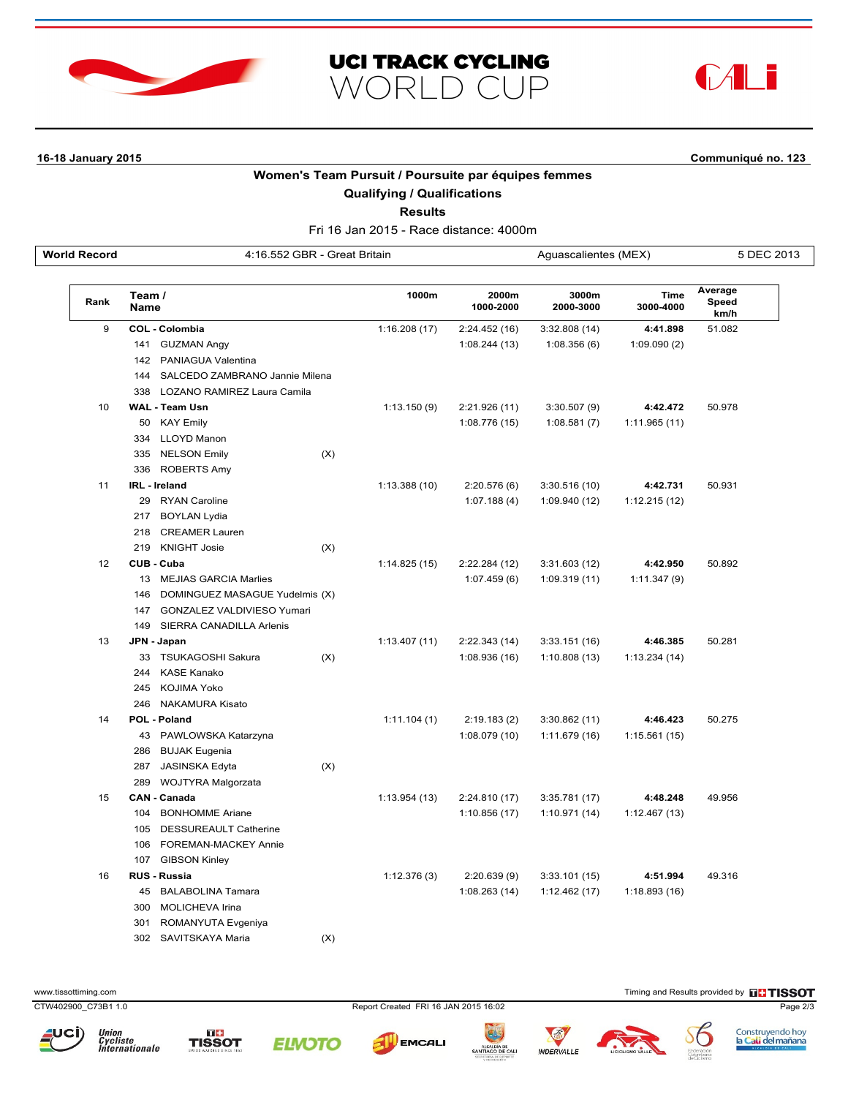





**16-18 January 2015 Communiqué no. 123**

## **Women's Team Pursuit / Poursuite par équipes femmes**

**Qualifying / Qualifications**

**Results**

Fri 16 Jan 2015 - Race distance: 4000m **World Record** 4:16.552 GBR - Great Britain Aguascalientes (MEX) 5 DEC 2013

| Rank | Team /<br><b>Name</b> |                                    |     | 1000m        | 2000m<br>1000-2000 | 3000m<br>2000-3000 | Time<br>3000-4000 | Average<br>Speed<br>km/h |
|------|-----------------------|------------------------------------|-----|--------------|--------------------|--------------------|-------------------|--------------------------|
| 9    |                       | COL - Colombia                     |     | 1:16.208(17) | 2:24.452(16)       | 3:32.808(14)       | 4:41.898          | 51.082                   |
|      | 141                   | <b>GUZMAN Angy</b>                 |     |              | 1:08.244(13)       | 1:08.356(6)        | 1:09.090(2)       |                          |
|      |                       | 142 PANIAGUA Valentina             |     |              |                    |                    |                   |                          |
|      |                       | 144 SALCEDO ZAMBRANO Jannie Milena |     |              |                    |                    |                   |                          |
|      |                       | 338 LOZANO RAMIREZ Laura Camila    |     |              |                    |                    |                   |                          |
| 10   |                       | <b>WAL - Team Usn</b>              |     | 1:13.150(9)  | 2:21.926 (11)      | 3:30.507(9)        | 4:42.472          | 50.978                   |
|      |                       | 50 KAY Emily                       |     |              | 1:08.776 (15)      | 1:08.581(7)        | 1:11.965(11)      |                          |
|      |                       | 334 LLOYD Manon                    |     |              |                    |                    |                   |                          |
|      |                       | 335 NELSON Emily                   | (X) |              |                    |                    |                   |                          |
|      |                       | 336 ROBERTS Amy                    |     |              |                    |                    |                   |                          |
| 11   | IRL - Ireland         |                                    |     | 1:13.388(10) | 2:20.576(6)        | 3:30.516(10)       | 4:42.731          | 50.931                   |
|      |                       | 29 RYAN Caroline                   |     |              | 1:07.188(4)        | 1:09.940 (12)      | 1:12.215(12)      |                          |
|      |                       | 217 BOYLAN Lydia                   |     |              |                    |                    |                   |                          |
|      |                       | 218 CREAMER Lauren                 |     |              |                    |                    |                   |                          |
|      | 219                   | <b>KNIGHT Josie</b>                | (X) |              |                    |                    |                   |                          |
| 12   | CUB - Cuba            |                                    |     | 1:14.825(15) | 2:22.284 (12)      | 3:31.603(12)       | 4:42.950          | 50.892                   |
|      |                       | 13 MEJIAS GARCIA Marlies           |     |              | 1:07.459(6)        | 1:09.319(11)       | 1:11.347(9)       |                          |
|      |                       | 146 DOMINGUEZ MASAGUE Yudelmis (X) |     |              |                    |                    |                   |                          |
|      |                       | 147 GONZALEZ VALDIVIESO Yumari     |     |              |                    |                    |                   |                          |
|      |                       | 149 SIERRA CANADILLA Arlenis       |     |              |                    |                    |                   |                          |
| 13   | JPN - Japan           |                                    |     | 1:13.407(11) | 2:22.343(14)       | 3:33.151(16)       | 4:46.385          | 50.281                   |
|      |                       | 33 TSUKAGOSHI Sakura               | (X) |              | 1:08.936(16)       | 1:10.808(13)       | 1:13.234(14)      |                          |
|      |                       | 244 KASE Kanako                    |     |              |                    |                    |                   |                          |
|      |                       | 245 KOJIMA Yoko                    |     |              |                    |                    |                   |                          |
|      |                       | 246 NAKAMURA Kisato                |     |              |                    |                    |                   |                          |
| 14   | POL - Poland          |                                    |     | 1:11.104(1)  | 2:19.183(2)        | 3:30.862(11)       | 4:46.423          | 50.275                   |
|      |                       | 43 PAWLOWSKA Katarzyna             |     |              | 1:08.079(10)       | 1:11.679(16)       | 1:15.561(15)      |                          |
|      |                       | 286 BUJAK Eugenia                  |     |              |                    |                    |                   |                          |
|      |                       | 287 JASINSKA Edyta                 | (X) |              |                    |                    |                   |                          |
|      |                       | 289 WOJTYRA Malgorzata             |     |              |                    |                    |                   |                          |
| 15   | <b>CAN - Canada</b>   |                                    |     | 1:13.954(13) | 2:24.810 (17)      | 3:35.781 (17)      | 4:48.248          | 49.956                   |
|      |                       | 104 BONHOMME Ariane                |     |              | 1:10.856(17)       | 1:10.971(14)       | 1:12.467(13)      |                          |
|      | 105                   | <b>DESSUREAULT Catherine</b>       |     |              |                    |                    |                   |                          |
|      | 106                   | <b>FOREMAN-MACKEY Annie</b>        |     |              |                    |                    |                   |                          |
|      | 107                   | <b>GIBSON Kinley</b>               |     |              |                    |                    |                   |                          |
| 16   | <b>RUS - Russia</b>   |                                    |     | 1:12.376(3)  | 2:20.639(9)        | 3:33.101(15)       | 4:51.994          | 49.316                   |
|      |                       | 45 BALABOLINA Tamara               |     |              | 1:08.263(14)       | 1:12.462(17)       | 1:18.893(16)      |                          |
|      |                       | 300 MOLICHEVA Irina                |     |              |                    |                    |                   |                          |
|      | 301                   | ROMANYUTA Evgeniya                 |     |              |                    |                    |                   |                          |
|      |                       | 302 SAVITSKAYA Maria               | (X) |              |                    |                    |                   |                          |

www.tissottiming.com **Timing and Results provided by FITISSOT** 

CTW402900\_C73B1 1.0 Report Created FRI 16 JAN 2015 16:02 Page 2/3